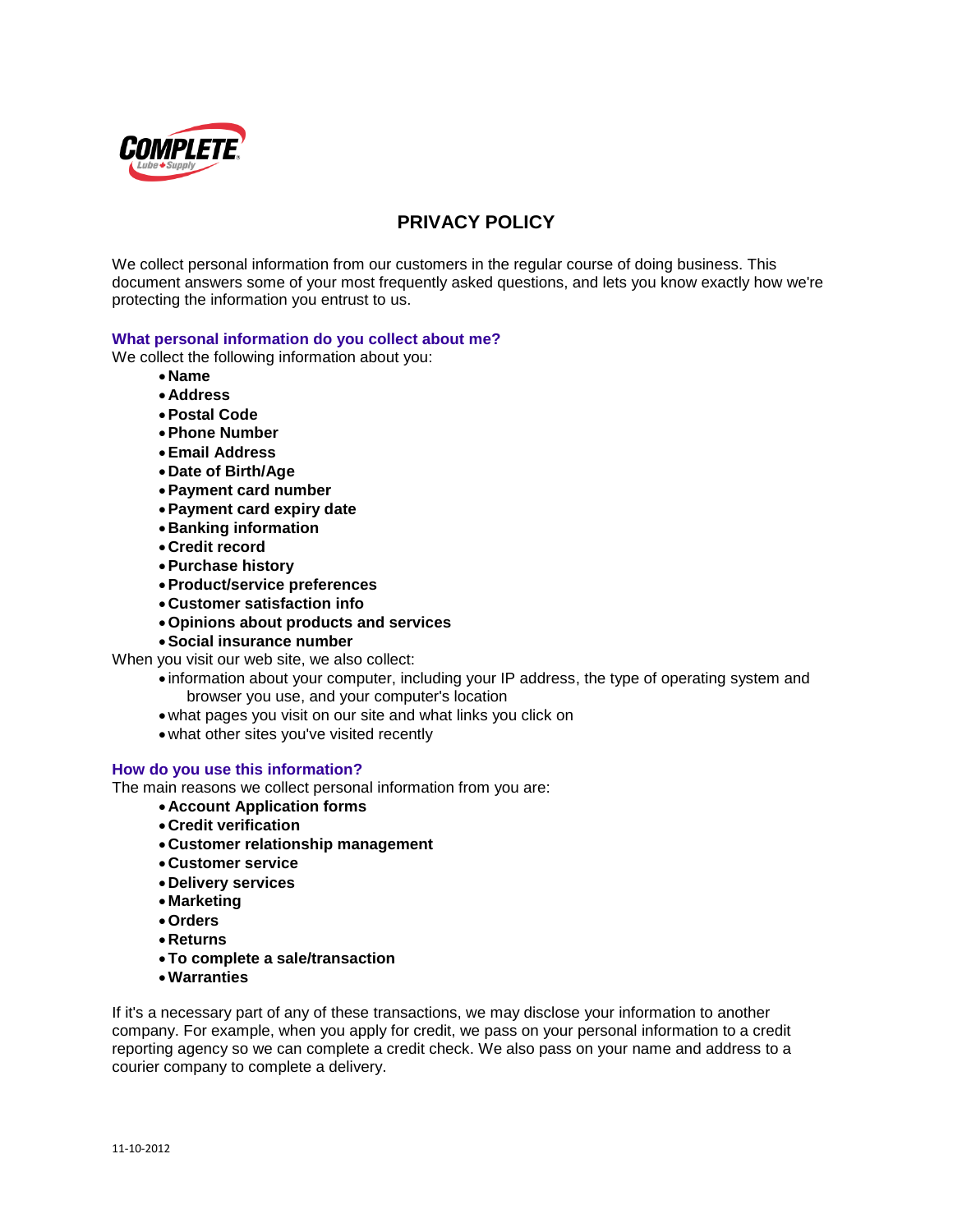

# **PRIVACY POLICY**

We collect personal information from our customers in the regular course of doing business. This document answers some of your most frequently asked questions, and lets you know exactly how we're protecting the information you entrust to us.

## **What personal information do you collect about me?**

We collect the following information about you:

- **Name**
- **Address**
- **Postal Code**
- **Phone Number**
- **Email Address**
- **Date of Birth/Age**
- **Payment card number**
- **Payment card expiry date**
- **Banking information**
- **Credit record**
- **Purchase history**
- **Product/service preferences**
- **Customer satisfaction info**
- **Opinions about products and services**
- **Social insurance number**

When you visit our web site, we also collect:

- information about your computer, including your IP address, the type of operating system and browser you use, and your computer's location
	- what pages you visit on our site and what links you click on
- what other sites you've visited recently

# **How do you use this information?**

The main reasons we collect personal information from you are:

- **Account Application forms**
- **Credit verification**
- **Customer relationship management**
- **Customer service**
- **Delivery services**
- **Marketing**
- **Orders**
- **Returns**
- **To complete a sale/transaction**
- **Warranties**

If it's a necessary part of any of these transactions, we may disclose your information to another company. For example, when you apply for credit, we pass on your personal information to a credit reporting agency so we can complete a credit check. We also pass on your name and address to a courier company to complete a delivery.